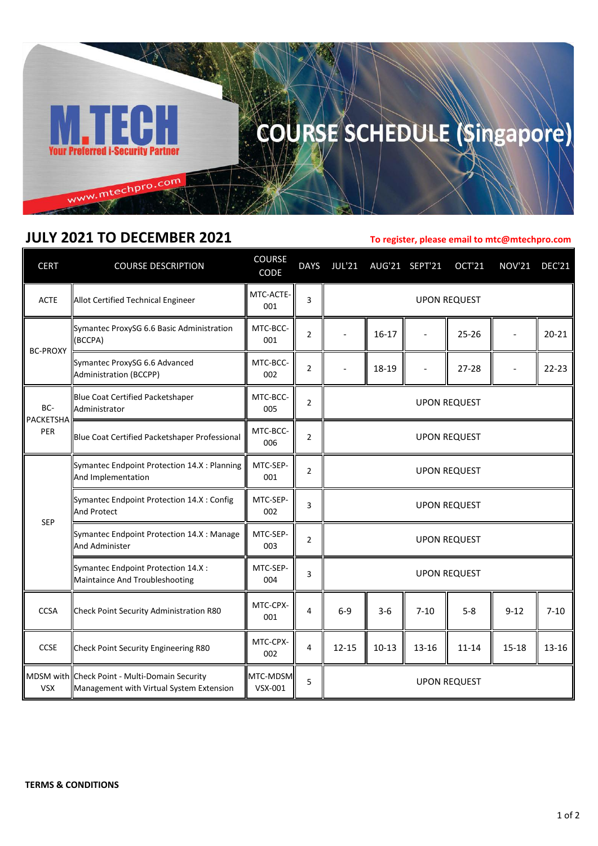

## COURSE SCHEDULE (Singapore)

## **JULY 2021 TO DECEMBER 2021**

**To register, please email to mtc@mtechpro.com**

| <b>CERT</b>             | <b>COURSE DESCRIPTION</b>                                                                 | <b>COURSE</b><br>CODE | <b>DAYS</b>    | <b>JUL'21</b>       |           | AUG'21 SEPT'21 | OCT'21    | <b>NOV'21</b> | <b>DEC'21</b> |
|-------------------------|-------------------------------------------------------------------------------------------|-----------------------|----------------|---------------------|-----------|----------------|-----------|---------------|---------------|
| <b>ACTE</b>             | Allot Certified Technical Engineer                                                        | MTC-ACTE-<br>001      | 3              | <b>UPON REQUEST</b> |           |                |           |               |               |
| <b>BC-PROXY</b>         | Symantec ProxySG 6.6 Basic Administration<br>(BCCPA)                                      | MTC-BCC-<br>001       | 2              |                     | $16 - 17$ |                | $25 - 26$ |               | $20 - 21$     |
|                         | Symantec ProxySG 6.6 Advanced<br>Administration (BCCPP)                                   | MTC-BCC-<br>002       | $\overline{2}$ |                     | 18-19     |                | $27 - 28$ |               | $22 - 23$     |
| BC-<br>PACKETSHA<br>PER | Blue Coat Certified Packetshaper<br>Administrator                                         | MTC-BCC-<br>005       | 2              | <b>UPON REQUEST</b> |           |                |           |               |               |
|                         | Blue Coat Certified Packetshaper Professional                                             | MTC-BCC-<br>006       | $\overline{2}$ | <b>UPON REQUEST</b> |           |                |           |               |               |
| <b>SEP</b>              | Symantec Endpoint Protection 14.X : Planning<br>And Implementation                        | MTC-SEP-<br>001       | $\overline{2}$ | <b>UPON REQUEST</b> |           |                |           |               |               |
|                         | Symantec Endpoint Protection 14.X : Config<br><b>And Protect</b>                          | MTC-SEP-<br>002       | 3              | <b>UPON REQUEST</b> |           |                |           |               |               |
|                         | Symantec Endpoint Protection 14.X : Manage<br><b>And Administer</b>                       | MTC-SEP-<br>003       | 2              | <b>UPON REQUEST</b> |           |                |           |               |               |
|                         | Symantec Endpoint Protection 14.X :<br>Maintaince And Troubleshooting                     | MTC-SEP-<br>004       | 3              | <b>UPON REQUEST</b> |           |                |           |               |               |
| <b>CCSA</b>             | Check Point Security Administration R80                                                   | MTC-CPX-<br>001       | 4              | $6-9$               | $3-6$     | $7 - 10$       | $5 - 8$   | $9 - 12$      | $7 - 10$      |
| <b>CCSE</b>             | Check Point Security Engineering R80                                                      | MTC-CPX-<br>002       | 4              | $12 - 15$           | $10 - 13$ | 13-16          | $11 - 14$ | 15-18         | $13 - 16$     |
| <b>VSX</b>              | MDSM with Check Point - Multi-Domain Security<br>Management with Virtual System Extension | MTC-MDSM<br>VSX-001   | 5              | <b>UPON REQUEST</b> |           |                |           |               |               |